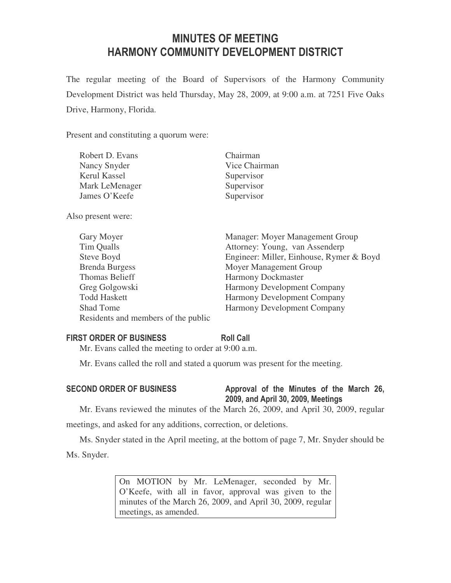# MINUTES OF MEETING HARMONY COMMUNITY DEVELOPMENT DISTRICT

The regular meeting of the Board of Supervisors of the Harmony Community Development District was held Thursday, May 28, 2009, at 9:00 a.m. at 7251 Five Oaks Drive, Harmony, Florida.

Present and constituting a quorum were:

| Robert D. Evans     | Chairman      |
|---------------------|---------------|
| Nancy Snyder        | Vice Chairman |
| <b>Kerul Kassel</b> | Supervisor    |
| Mark LeMenager      | Supervisor    |
| James O'Keefe       | Supervisor    |
| Also present were:  |               |

| Gary Moyer                          | Manager: Moyer Management Group          |
|-------------------------------------|------------------------------------------|
| Tim Qualls                          | Attorney: Young, van Assenderp           |
| Steve Boyd                          | Engineer: Miller, Einhouse, Rymer & Boyd |
| <b>Brenda Burgess</b>               | Moyer Management Group                   |
| <b>Thomas Belieff</b>               | <b>Harmony Dockmaster</b>                |
| Greg Golgowski                      | <b>Harmony Development Company</b>       |
| <b>Todd Haskett</b>                 | Harmony Development Company              |
| <b>Shad Tome</b>                    | <b>Harmony Development Company</b>       |
| Residents and members of the public |                                          |

## FIRST ORDER OF BUSINESS Roll Call

Mr. Evans called the meeting to order at 9:00 a.m.

Mr. Evans called the roll and stated a quorum was present for the meeting.

## SECOND ORDER OF BUSINESS Approval of the Minutes of the March 26, 2009, and April 30, 2009, Meetings

Mr. Evans reviewed the minutes of the March 26, 2009, and April 30, 2009, regular

meetings, and asked for any additions, correction, or deletions.

Ms. Snyder stated in the April meeting, at the bottom of page 7, Mr. Snyder should be Ms. Snyder.

> On MOTION by Mr. LeMenager, seconded by Mr. O'Keefe, with all in favor, approval was given to the minutes of the March 26, 2009, and April 30, 2009, regular meetings, as amended.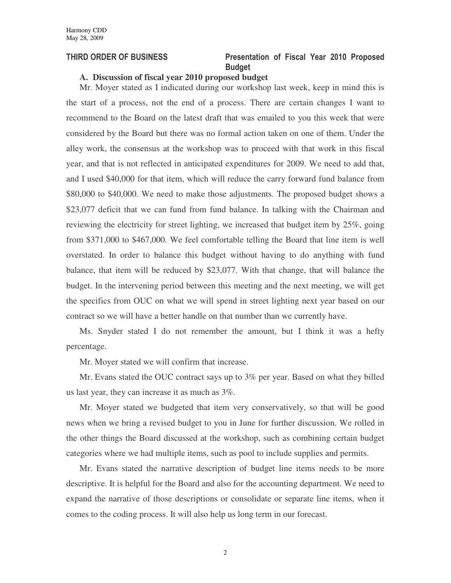## THIRD ORDER OF BUSINESS Presentation of Fiscal Year 2010 Proposed Budget

### **A. Discussion of fiscal year 2010 proposed budget**

Mr. Moyer stated as I indicated during our workshop last week, keep in mind this is the start of a process, not the end of a process. There are certain changes I want to recommend to the Board on the latest draft that was emailed to you this week that were considered by the Board but there was no formal action taken on one of them. Under the alley work, the consensus at the workshop was to proceed with that work in this fiscal year, and that is not reflected in anticipated expenditures for 2009. We need to add that, and I used \$40,000 for that item, which will reduce the carry forward fund balance from \$80,000 to \$40,000. We need to make those adjustments. The proposed budget shows a \$23,077 deficit that we can fund from fund balance. In talking with the Chairman and reviewing the electricity for street lighting, we increased that budget item by 25%, going from \$371,000 to \$467,000. We feel comfortable telling the Board that line item is well overstated. In order to balance this budget without having to do anything with fund balance, that item will be reduced by \$23,077. With that change, that will balance the budget. In the intervening period between this meeting and the next meeting, we will get the specifics from OUC on what we will spend in street lighting next year based on our contract so we will have a better handle on that number than we currently have.

Ms. Snyder stated I do not remember the amount, but I think it was a hefty percentage.

Mr. Moyer stated we will confirm that increase.

Mr. Evans stated the OUC contract says up to 3% per year. Based on what they billed us last year, they can increase it as much as 3%.

Mr. Moyer stated we budgeted that item very conservatively, so that will be good news when we bring a revised budget to you in June for further discussion. We rolled in the other things the Board discussed at the workshop, such as combining certain budget categories where we had multiple items, such as pool to include supplies and permits.

Mr. Evans stated the narrative description of budget line items needs to be more descriptive. It is helpful for the Board and also for the accounting department. We need to expand the narrative of those descriptions or consolidate or separate line items, when it comes to the coding process. It will also help us long term in our forecast.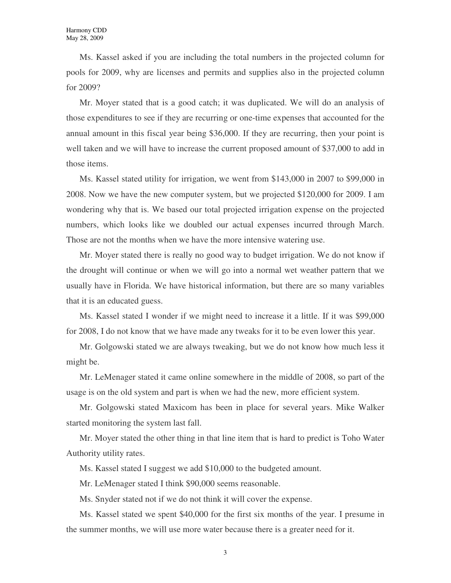Ms. Kassel asked if you are including the total numbers in the projected column for pools for 2009, why are licenses and permits and supplies also in the projected column for 2009?

Mr. Moyer stated that is a good catch; it was duplicated. We will do an analysis of those expenditures to see if they are recurring or one-time expenses that accounted for the annual amount in this fiscal year being \$36,000. If they are recurring, then your point is well taken and we will have to increase the current proposed amount of \$37,000 to add in those items.

Ms. Kassel stated utility for irrigation, we went from \$143,000 in 2007 to \$99,000 in 2008. Now we have the new computer system, but we projected \$120,000 for 2009. I am wondering why that is. We based our total projected irrigation expense on the projected numbers, which looks like we doubled our actual expenses incurred through March. Those are not the months when we have the more intensive watering use.

Mr. Moyer stated there is really no good way to budget irrigation. We do not know if the drought will continue or when we will go into a normal wet weather pattern that we usually have in Florida. We have historical information, but there are so many variables that it is an educated guess.

Ms. Kassel stated I wonder if we might need to increase it a little. If it was \$99,000 for 2008, I do not know that we have made any tweaks for it to be even lower this year.

Mr. Golgowski stated we are always tweaking, but we do not know how much less it might be.

Mr. LeMenager stated it came online somewhere in the middle of 2008, so part of the usage is on the old system and part is when we had the new, more efficient system.

Mr. Golgowski stated Maxicom has been in place for several years. Mike Walker started monitoring the system last fall.

Mr. Moyer stated the other thing in that line item that is hard to predict is Toho Water Authority utility rates.

Ms. Kassel stated I suggest we add \$10,000 to the budgeted amount.

Mr. LeMenager stated I think \$90,000 seems reasonable.

Ms. Snyder stated not if we do not think it will cover the expense.

Ms. Kassel stated we spent \$40,000 for the first six months of the year. I presume in the summer months, we will use more water because there is a greater need for it.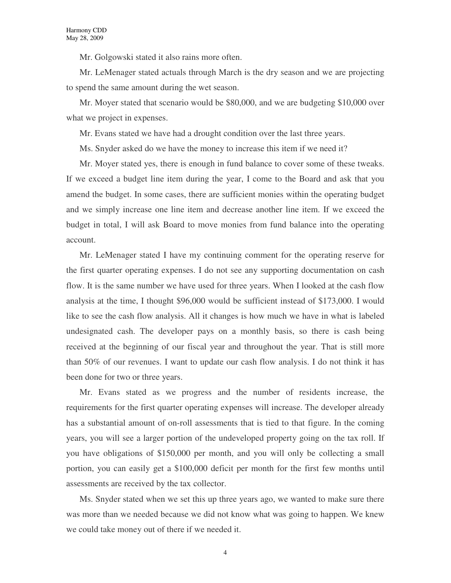Mr. Golgowski stated it also rains more often.

Mr. LeMenager stated actuals through March is the dry season and we are projecting to spend the same amount during the wet season.

Mr. Moyer stated that scenario would be \$80,000, and we are budgeting \$10,000 over what we project in expenses.

Mr. Evans stated we have had a drought condition over the last three years.

Ms. Snyder asked do we have the money to increase this item if we need it?

Mr. Moyer stated yes, there is enough in fund balance to cover some of these tweaks. If we exceed a budget line item during the year, I come to the Board and ask that you amend the budget. In some cases, there are sufficient monies within the operating budget and we simply increase one line item and decrease another line item. If we exceed the budget in total, I will ask Board to move monies from fund balance into the operating account.

Mr. LeMenager stated I have my continuing comment for the operating reserve for the first quarter operating expenses. I do not see any supporting documentation on cash flow. It is the same number we have used for three years. When I looked at the cash flow analysis at the time, I thought \$96,000 would be sufficient instead of \$173,000. I would like to see the cash flow analysis. All it changes is how much we have in what is labeled undesignated cash. The developer pays on a monthly basis, so there is cash being received at the beginning of our fiscal year and throughout the year. That is still more than 50% of our revenues. I want to update our cash flow analysis. I do not think it has been done for two or three years.

Mr. Evans stated as we progress and the number of residents increase, the requirements for the first quarter operating expenses will increase. The developer already has a substantial amount of on-roll assessments that is tied to that figure. In the coming years, you will see a larger portion of the undeveloped property going on the tax roll. If you have obligations of \$150,000 per month, and you will only be collecting a small portion, you can easily get a \$100,000 deficit per month for the first few months until assessments are received by the tax collector.

Ms. Snyder stated when we set this up three years ago, we wanted to make sure there was more than we needed because we did not know what was going to happen. We knew we could take money out of there if we needed it.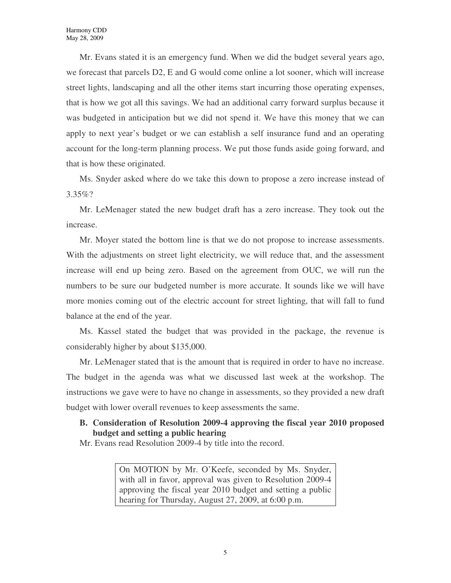Mr. Evans stated it is an emergency fund. When we did the budget several years ago, we forecast that parcels D2, E and G would come online a lot sooner, which will increase street lights, landscaping and all the other items start incurring those operating expenses, that is how we got all this savings. We had an additional carry forward surplus because it was budgeted in anticipation but we did not spend it. We have this money that we can apply to next year's budget or we can establish a self insurance fund and an operating account for the long-term planning process. We put those funds aside going forward, and that is how these originated.

Ms. Snyder asked where do we take this down to propose a zero increase instead of 3.35%?

Mr. LeMenager stated the new budget draft has a zero increase. They took out the increase.

Mr. Moyer stated the bottom line is that we do not propose to increase assessments. With the adjustments on street light electricity, we will reduce that, and the assessment increase will end up being zero. Based on the agreement from OUC, we will run the numbers to be sure our budgeted number is more accurate. It sounds like we will have more monies coming out of the electric account for street lighting, that will fall to fund balance at the end of the year.

Ms. Kassel stated the budget that was provided in the package, the revenue is considerably higher by about \$135,000.

Mr. LeMenager stated that is the amount that is required in order to have no increase. The budget in the agenda was what we discussed last week at the workshop. The instructions we gave were to have no change in assessments, so they provided a new draft budget with lower overall revenues to keep assessments the same.

## **B. Consideration of Resolution 2009-4 approving the fiscal year 2010 proposed budget and setting a public hearing**

Mr. Evans read Resolution 2009-4 by title into the record.

On MOTION by Mr. O'Keefe, seconded by Ms. Snyder, with all in favor, approval was given to Resolution 2009-4 approving the fiscal year 2010 budget and setting a public hearing for Thursday, August 27, 2009, at 6:00 p.m.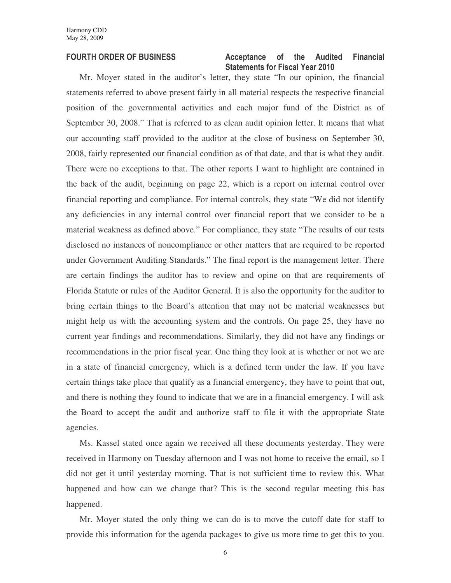### FOURTH ORDER OF BUSINESS **Acceptance** of the Audited Financial Statements for Fiscal Year 2010

Mr. Moyer stated in the auditor's letter, they state "In our opinion, the financial statements referred to above present fairly in all material respects the respective financial position of the governmental activities and each major fund of the District as of September 30, 2008." That is referred to as clean audit opinion letter. It means that what our accounting staff provided to the auditor at the close of business on September 30, 2008, fairly represented our financial condition as of that date, and that is what they audit. There were no exceptions to that. The other reports I want to highlight are contained in the back of the audit, beginning on page 22, which is a report on internal control over financial reporting and compliance. For internal controls, they state "We did not identify any deficiencies in any internal control over financial report that we consider to be a material weakness as defined above." For compliance, they state "The results of our tests disclosed no instances of noncompliance or other matters that are required to be reported under Government Auditing Standards." The final report is the management letter. There are certain findings the auditor has to review and opine on that are requirements of Florida Statute or rules of the Auditor General. It is also the opportunity for the auditor to bring certain things to the Board's attention that may not be material weaknesses but might help us with the accounting system and the controls. On page 25, they have no current year findings and recommendations. Similarly, they did not have any findings or recommendations in the prior fiscal year. One thing they look at is whether or not we are in a state of financial emergency, which is a defined term under the law. If you have certain things take place that qualify as a financial emergency, they have to point that out, and there is nothing they found to indicate that we are in a financial emergency. I will ask the Board to accept the audit and authorize staff to file it with the appropriate State agencies.

Ms. Kassel stated once again we received all these documents yesterday. They were received in Harmony on Tuesday afternoon and I was not home to receive the email, so I did not get it until yesterday morning. That is not sufficient time to review this. What happened and how can we change that? This is the second regular meeting this has happened.

Mr. Moyer stated the only thing we can do is to move the cutoff date for staff to provide this information for the agenda packages to give us more time to get this to you.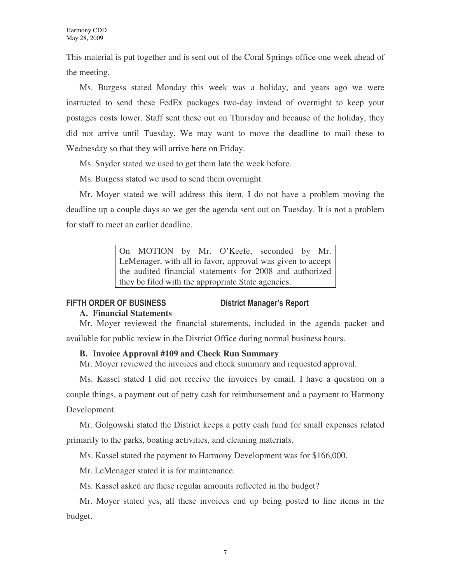This material is put together and is sent out of the Coral Springs office one week ahead of the meeting.

Ms. Burgess stated Monday this week was a holiday, and years ago we were instructed to send these FedEx packages two-day instead of overnight to keep your postages costs lower. Staff sent these out on Thursday and because of the holiday, they did not arrive until Tuesday. We may want to move the deadline to mail these to Wednesday so that they will arrive here on Friday.

Ms. Snyder stated we used to get them late the week before.

Ms. Burgess stated we used to send them overnight.

Mr. Moyer stated we will address this item. I do not have a problem moving the deadline up a couple days so we get the agenda sent out on Tuesday. It is not a problem for staff to meet an earlier deadline.

> On MOTION by Mr. O'Keefe, seconded by Mr. LeMenager, with all in favor, approval was given to accept the audited financial statements for 2008 and authorized they be filed with the appropriate State agencies.

## FIFTH ORDER OF BUSINESS District Manager's Report

## **A. Financial Statements**

Mr. Moyer reviewed the financial statements, included in the agenda packet and available for public review in the District Office during normal business hours.

## **B. Invoice Approval #109 and Check Run Summary**

Mr. Moyer reviewed the invoices and check summary and requested approval.

Ms. Kassel stated I did not receive the invoices by email. I have a question on a

couple things, a payment out of petty cash for reimbursement and a payment to Harmony Development.

Mr. Golgowski stated the District keeps a petty cash fund for small expenses related primarily to the parks, boating activities, and cleaning materials.

Ms. Kassel stated the payment to Harmony Development was for \$166,000.

Mr. LeMenager stated it is for maintenance.

Ms. Kassel asked are these regular amounts reflected in the budget?

Mr. Moyer stated yes, all these invoices end up being posted to line items in the budget.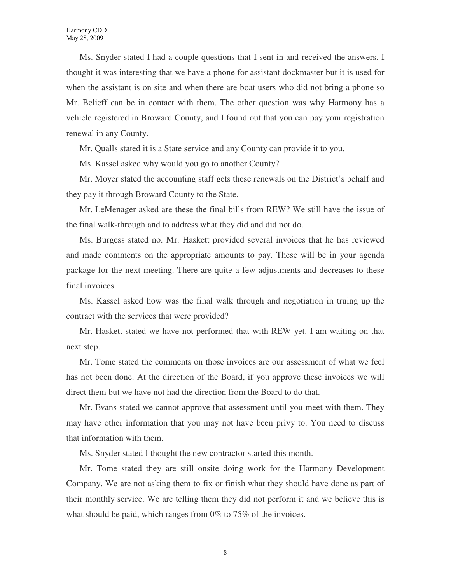Ms. Snyder stated I had a couple questions that I sent in and received the answers. I thought it was interesting that we have a phone for assistant dockmaster but it is used for when the assistant is on site and when there are boat users who did not bring a phone so Mr. Belieff can be in contact with them. The other question was why Harmony has a vehicle registered in Broward County, and I found out that you can pay your registration renewal in any County.

Mr. Qualls stated it is a State service and any County can provide it to you.

Ms. Kassel asked why would you go to another County?

Mr. Moyer stated the accounting staff gets these renewals on the District's behalf and they pay it through Broward County to the State.

Mr. LeMenager asked are these the final bills from REW? We still have the issue of the final walk-through and to address what they did and did not do.

Ms. Burgess stated no. Mr. Haskett provided several invoices that he has reviewed and made comments on the appropriate amounts to pay. These will be in your agenda package for the next meeting. There are quite a few adjustments and decreases to these final invoices.

Ms. Kassel asked how was the final walk through and negotiation in truing up the contract with the services that were provided?

Mr. Haskett stated we have not performed that with REW yet. I am waiting on that next step.

Mr. Tome stated the comments on those invoices are our assessment of what we feel has not been done. At the direction of the Board, if you approve these invoices we will direct them but we have not had the direction from the Board to do that.

Mr. Evans stated we cannot approve that assessment until you meet with them. They may have other information that you may not have been privy to. You need to discuss that information with them.

Ms. Snyder stated I thought the new contractor started this month.

Mr. Tome stated they are still onsite doing work for the Harmony Development Company. We are not asking them to fix or finish what they should have done as part of their monthly service. We are telling them they did not perform it and we believe this is what should be paid, which ranges from 0% to 75% of the invoices.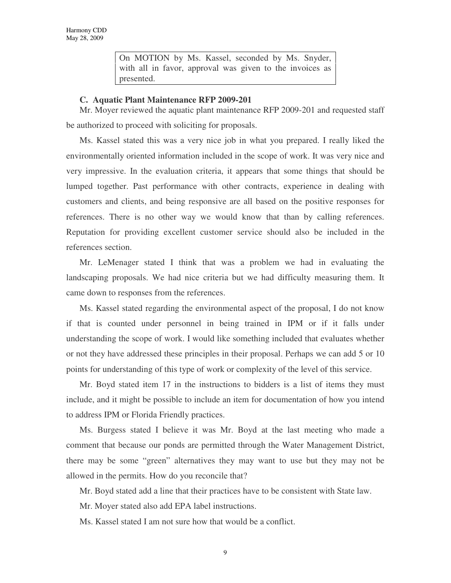On MOTION by Ms. Kassel, seconded by Ms. Snyder, with all in favor, approval was given to the invoices as presented.

### **C. Aquatic Plant Maintenance RFP 2009-201**

Mr. Moyer reviewed the aquatic plant maintenance RFP 2009-201 and requested staff be authorized to proceed with soliciting for proposals.

Ms. Kassel stated this was a very nice job in what you prepared. I really liked the environmentally oriented information included in the scope of work. It was very nice and very impressive. In the evaluation criteria, it appears that some things that should be lumped together. Past performance with other contracts, experience in dealing with customers and clients, and being responsive are all based on the positive responses for references. There is no other way we would know that than by calling references. Reputation for providing excellent customer service should also be included in the references section.

Mr. LeMenager stated I think that was a problem we had in evaluating the landscaping proposals. We had nice criteria but we had difficulty measuring them. It came down to responses from the references.

Ms. Kassel stated regarding the environmental aspect of the proposal, I do not know if that is counted under personnel in being trained in IPM or if it falls under understanding the scope of work. I would like something included that evaluates whether or not they have addressed these principles in their proposal. Perhaps we can add 5 or 10 points for understanding of this type of work or complexity of the level of this service.

Mr. Boyd stated item 17 in the instructions to bidders is a list of items they must include, and it might be possible to include an item for documentation of how you intend to address IPM or Florida Friendly practices.

Ms. Burgess stated I believe it was Mr. Boyd at the last meeting who made a comment that because our ponds are permitted through the Water Management District, there may be some "green" alternatives they may want to use but they may not be allowed in the permits. How do you reconcile that?

Mr. Boyd stated add a line that their practices have to be consistent with State law.

Mr. Moyer stated also add EPA label instructions.

Ms. Kassel stated I am not sure how that would be a conflict.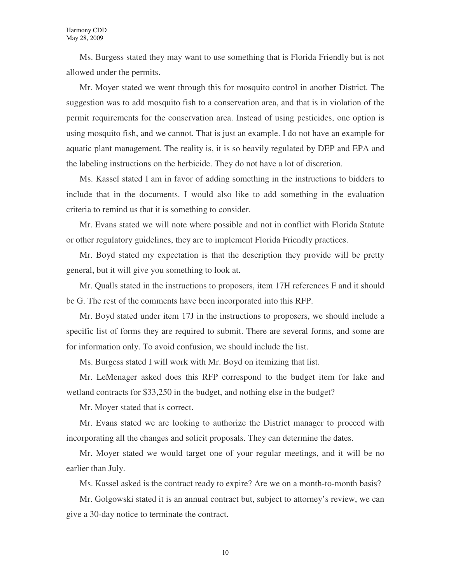Ms. Burgess stated they may want to use something that is Florida Friendly but is not allowed under the permits.

Mr. Moyer stated we went through this for mosquito control in another District. The suggestion was to add mosquito fish to a conservation area, and that is in violation of the permit requirements for the conservation area. Instead of using pesticides, one option is using mosquito fish, and we cannot. That is just an example. I do not have an example for aquatic plant management. The reality is, it is so heavily regulated by DEP and EPA and the labeling instructions on the herbicide. They do not have a lot of discretion.

Ms. Kassel stated I am in favor of adding something in the instructions to bidders to include that in the documents. I would also like to add something in the evaluation criteria to remind us that it is something to consider.

Mr. Evans stated we will note where possible and not in conflict with Florida Statute or other regulatory guidelines, they are to implement Florida Friendly practices.

Mr. Boyd stated my expectation is that the description they provide will be pretty general, but it will give you something to look at.

Mr. Qualls stated in the instructions to proposers, item 17H references F and it should be G. The rest of the comments have been incorporated into this RFP.

Mr. Boyd stated under item 17J in the instructions to proposers, we should include a specific list of forms they are required to submit. There are several forms, and some are for information only. To avoid confusion, we should include the list.

Ms. Burgess stated I will work with Mr. Boyd on itemizing that list.

Mr. LeMenager asked does this RFP correspond to the budget item for lake and wetland contracts for \$33,250 in the budget, and nothing else in the budget?

Mr. Moyer stated that is correct.

Mr. Evans stated we are looking to authorize the District manager to proceed with incorporating all the changes and solicit proposals. They can determine the dates.

Mr. Moyer stated we would target one of your regular meetings, and it will be no earlier than July.

Ms. Kassel asked is the contract ready to expire? Are we on a month-to-month basis?

Mr. Golgowski stated it is an annual contract but, subject to attorney's review, we can give a 30-day notice to terminate the contract.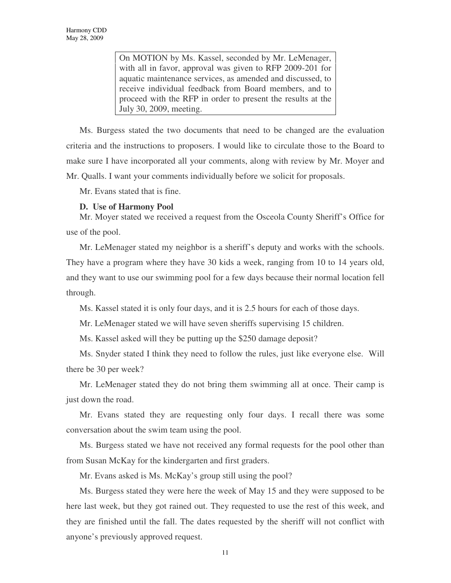On MOTION by Ms. Kassel, seconded by Mr. LeMenager, with all in favor, approval was given to RFP 2009-201 for aquatic maintenance services, as amended and discussed, to receive individual feedback from Board members, and to proceed with the RFP in order to present the results at the July 30, 2009, meeting.

Ms. Burgess stated the two documents that need to be changed are the evaluation criteria and the instructions to proposers. I would like to circulate those to the Board to make sure I have incorporated all your comments, along with review by Mr. Moyer and Mr. Qualls. I want your comments individually before we solicit for proposals.

Mr. Evans stated that is fine.

## **D. Use of Harmony Pool**

Mr. Moyer stated we received a request from the Osceola County Sheriff's Office for use of the pool.

Mr. LeMenager stated my neighbor is a sheriff's deputy and works with the schools. They have a program where they have 30 kids a week, ranging from 10 to 14 years old, and they want to use our swimming pool for a few days because their normal location fell through.

Ms. Kassel stated it is only four days, and it is 2.5 hours for each of those days.

Mr. LeMenager stated we will have seven sheriffs supervising 15 children.

Ms. Kassel asked will they be putting up the \$250 damage deposit?

Ms. Snyder stated I think they need to follow the rules, just like everyone else. Will there be 30 per week?

Mr. LeMenager stated they do not bring them swimming all at once. Their camp is just down the road.

Mr. Evans stated they are requesting only four days. I recall there was some conversation about the swim team using the pool.

Ms. Burgess stated we have not received any formal requests for the pool other than from Susan McKay for the kindergarten and first graders.

Mr. Evans asked is Ms. McKay's group still using the pool?

Ms. Burgess stated they were here the week of May 15 and they were supposed to be here last week, but they got rained out. They requested to use the rest of this week, and they are finished until the fall. The dates requested by the sheriff will not conflict with anyone's previously approved request.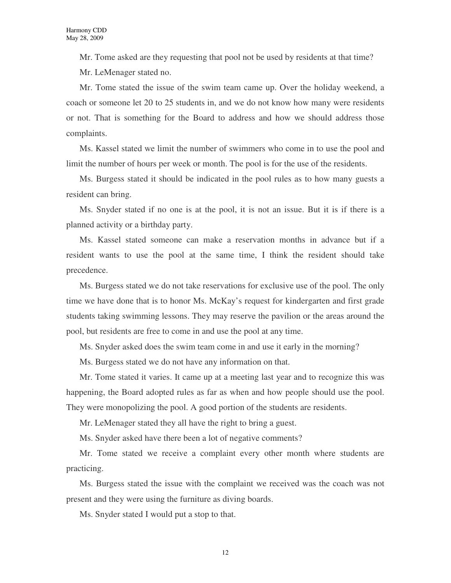Mr. Tome asked are they requesting that pool not be used by residents at that time? Mr. LeMenager stated no.

Mr. Tome stated the issue of the swim team came up. Over the holiday weekend, a coach or someone let 20 to 25 students in, and we do not know how many were residents or not. That is something for the Board to address and how we should address those complaints.

Ms. Kassel stated we limit the number of swimmers who come in to use the pool and limit the number of hours per week or month. The pool is for the use of the residents.

Ms. Burgess stated it should be indicated in the pool rules as to how many guests a resident can bring.

Ms. Snyder stated if no one is at the pool, it is not an issue. But it is if there is a planned activity or a birthday party.

Ms. Kassel stated someone can make a reservation months in advance but if a resident wants to use the pool at the same time, I think the resident should take precedence.

Ms. Burgess stated we do not take reservations for exclusive use of the pool. The only time we have done that is to honor Ms. McKay's request for kindergarten and first grade students taking swimming lessons. They may reserve the pavilion or the areas around the pool, but residents are free to come in and use the pool at any time.

Ms. Snyder asked does the swim team come in and use it early in the morning?

Ms. Burgess stated we do not have any information on that.

Mr. Tome stated it varies. It came up at a meeting last year and to recognize this was happening, the Board adopted rules as far as when and how people should use the pool. They were monopolizing the pool. A good portion of the students are residents.

Mr. LeMenager stated they all have the right to bring a guest.

Ms. Snyder asked have there been a lot of negative comments?

Mr. Tome stated we receive a complaint every other month where students are practicing.

Ms. Burgess stated the issue with the complaint we received was the coach was not present and they were using the furniture as diving boards.

Ms. Snyder stated I would put a stop to that.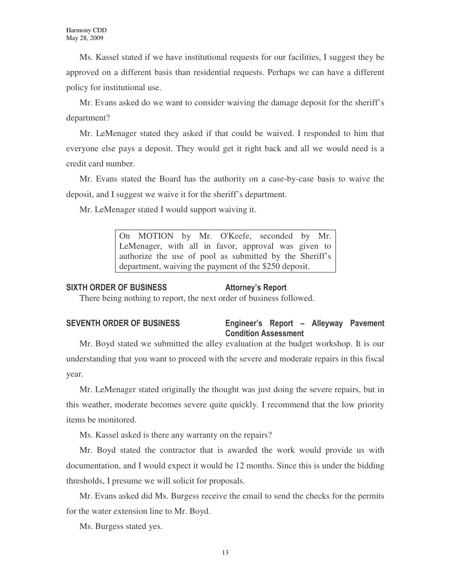Ms. Kassel stated if we have institutional requests for our facilities, I suggest they be approved on a different basis than residential requests. Perhaps we can have a different policy for institutional use.

Mr. Evans asked do we want to consider waiving the damage deposit for the sheriff's department?

Mr. LeMenager stated they asked if that could be waived. I responded to him that everyone else pays a deposit. They would get it right back and all we would need is a credit card number.

Mr. Evans stated the Board has the authority on a case-by-case basis to waive the deposit, and I suggest we waive it for the sheriff's department.

Mr. LeMenager stated I would support waiving it.

On MOTION by Mr. O'Keefe, seconded by Mr. LeMenager, with all in favor, approval was given to authorize the use of pool as submitted by the Sheriff's department, waiving the payment of the \$250 deposit.

### SIXTH ORDER OF BUSINESS Attorney's Report

There being nothing to report, the next order of business followed.

## SEVENTH ORDER OF BUSINESS Engineer's Report – Alleyway Pavement Condition Assessment

Mr. Boyd stated we submitted the alley evaluation at the budget workshop. It is our understanding that you want to proceed with the severe and moderate repairs in this fiscal year.

Mr. LeMenager stated originally the thought was just doing the severe repairs, but in this weather, moderate becomes severe quite quickly. I recommend that the low priority items be monitored.

Ms. Kassel asked is there any warranty on the repairs?

Mr. Boyd stated the contractor that is awarded the work would provide us with documentation, and I would expect it would be 12 months. Since this is under the bidding thresholds, I presume we will solicit for proposals.

Mr. Evans asked did Ms. Burgess receive the email to send the checks for the permits for the water extension line to Mr. Boyd.

Ms. Burgess stated yes.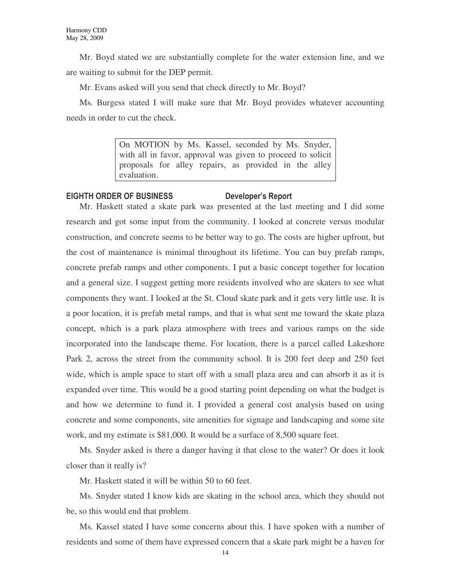Mr. Boyd stated we are substantially complete for the water extension line, and we are waiting to submit for the DEP permit.

Mr. Evans asked will you send that check directly to Mr. Boyd?

Ms. Burgess stated I will make sure that Mr. Boyd provides whatever accounting needs in order to cut the check.

> On MOTION by Ms. Kassel, seconded by Ms. Snyder, with all in favor, approval was given to proceed to solicit proposals for alley repairs, as provided in the alley evaluation.

## EIGHTH ORDER OF BUSINESS Developer's Report

Mr. Haskett stated a skate park was presented at the last meeting and I did some research and got some input from the community. I looked at concrete versus modular construction, and concrete seems to be better way to go. The costs are higher upfront, but the cost of maintenance is minimal throughout its lifetime. You can buy prefab ramps, concrete prefab ramps and other components. I put a basic concept together for location and a general size. I suggest getting more residents involved who are skaters to see what components they want. I looked at the St. Cloud skate park and it gets very little use. It is a poor location, it is prefab metal ramps, and that is what sent me toward the skate plaza concept, which is a park plaza atmosphere with trees and various ramps on the side incorporated into the landscape theme. For location, there is a parcel called Lakeshore Park 2, across the street from the community school. It is 200 feet deep and 250 feet wide, which is ample space to start off with a small plaza area and can absorb it as it is expanded over time. This would be a good starting point depending on what the budget is and how we determine to fund it. I provided a general cost analysis based on using concrete and some components, site amenities for signage and landscaping and some site work, and my estimate is \$81,000. It would be a surface of 8,500 square feet.

Ms. Snyder asked is there a danger having it that close to the water? Or does it look closer than it really is?

Mr. Haskett stated it will be within 50 to 60 feet.

Ms. Snyder stated I know kids are skating in the school area, which they should not be, so this would end that problem.

Ms. Kassel stated I have some concerns about this. I have spoken with a number of residents and some of them have expressed concern that a skate park might be a haven for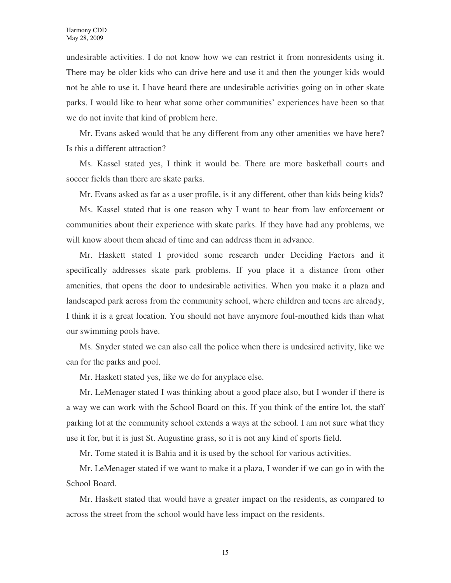undesirable activities. I do not know how we can restrict it from nonresidents using it. There may be older kids who can drive here and use it and then the younger kids would not be able to use it. I have heard there are undesirable activities going on in other skate parks. I would like to hear what some other communities' experiences have been so that we do not invite that kind of problem here.

Mr. Evans asked would that be any different from any other amenities we have here? Is this a different attraction?

Ms. Kassel stated yes, I think it would be. There are more basketball courts and soccer fields than there are skate parks.

Mr. Evans asked as far as a user profile, is it any different, other than kids being kids?

Ms. Kassel stated that is one reason why I want to hear from law enforcement or communities about their experience with skate parks. If they have had any problems, we will know about them ahead of time and can address them in advance.

Mr. Haskett stated I provided some research under Deciding Factors and it specifically addresses skate park problems. If you place it a distance from other amenities, that opens the door to undesirable activities. When you make it a plaza and landscaped park across from the community school, where children and teens are already, I think it is a great location. You should not have anymore foul-mouthed kids than what our swimming pools have.

Ms. Snyder stated we can also call the police when there is undesired activity, like we can for the parks and pool.

Mr. Haskett stated yes, like we do for anyplace else.

Mr. LeMenager stated I was thinking about a good place also, but I wonder if there is a way we can work with the School Board on this. If you think of the entire lot, the staff parking lot at the community school extends a ways at the school. I am not sure what they use it for, but it is just St. Augustine grass, so it is not any kind of sports field.

Mr. Tome stated it is Bahia and it is used by the school for various activities.

Mr. LeMenager stated if we want to make it a plaza, I wonder if we can go in with the School Board.

Mr. Haskett stated that would have a greater impact on the residents, as compared to across the street from the school would have less impact on the residents.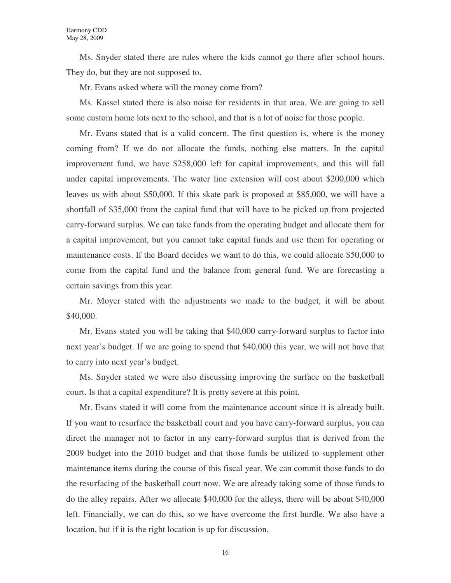Ms. Snyder stated there are rules where the kids cannot go there after school hours. They do, but they are not supposed to.

Mr. Evans asked where will the money come from?

Ms. Kassel stated there is also noise for residents in that area. We are going to sell some custom home lots next to the school, and that is a lot of noise for those people.

Mr. Evans stated that is a valid concern. The first question is, where is the money coming from? If we do not allocate the funds, nothing else matters. In the capital improvement fund, we have \$258,000 left for capital improvements, and this will fall under capital improvements. The water line extension will cost about \$200,000 which leaves us with about \$50,000. If this skate park is proposed at \$85,000, we will have a shortfall of \$35,000 from the capital fund that will have to be picked up from projected carry-forward surplus. We can take funds from the operating budget and allocate them for a capital improvement, but you cannot take capital funds and use them for operating or maintenance costs. If the Board decides we want to do this, we could allocate \$50,000 to come from the capital fund and the balance from general fund. We are forecasting a certain savings from this year.

Mr. Moyer stated with the adjustments we made to the budget, it will be about \$40,000.

Mr. Evans stated you will be taking that \$40,000 carry-forward surplus to factor into next year's budget. If we are going to spend that \$40,000 this year, we will not have that to carry into next year's budget.

Ms. Snyder stated we were also discussing improving the surface on the basketball court. Is that a capital expenditure? It is pretty severe at this point.

Mr. Evans stated it will come from the maintenance account since it is already built. If you want to resurface the basketball court and you have carry-forward surplus, you can direct the manager not to factor in any carry-forward surplus that is derived from the 2009 budget into the 2010 budget and that those funds be utilized to supplement other maintenance items during the course of this fiscal year. We can commit those funds to do the resurfacing of the basketball court now. We are already taking some of those funds to do the alley repairs. After we allocate \$40,000 for the alleys, there will be about \$40,000 left. Financially, we can do this, so we have overcome the first hurdle. We also have a location, but if it is the right location is up for discussion.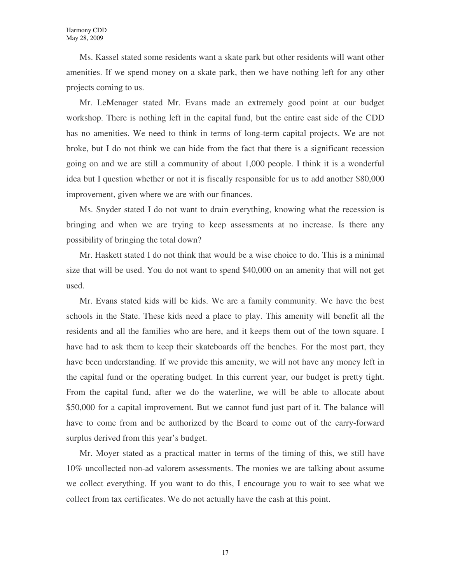Ms. Kassel stated some residents want a skate park but other residents will want other amenities. If we spend money on a skate park, then we have nothing left for any other projects coming to us.

Mr. LeMenager stated Mr. Evans made an extremely good point at our budget workshop. There is nothing left in the capital fund, but the entire east side of the CDD has no amenities. We need to think in terms of long-term capital projects. We are not broke, but I do not think we can hide from the fact that there is a significant recession going on and we are still a community of about 1,000 people. I think it is a wonderful idea but I question whether or not it is fiscally responsible for us to add another \$80,000 improvement, given where we are with our finances.

Ms. Snyder stated I do not want to drain everything, knowing what the recession is bringing and when we are trying to keep assessments at no increase. Is there any possibility of bringing the total down?

Mr. Haskett stated I do not think that would be a wise choice to do. This is a minimal size that will be used. You do not want to spend \$40,000 on an amenity that will not get used.

Mr. Evans stated kids will be kids. We are a family community. We have the best schools in the State. These kids need a place to play. This amenity will benefit all the residents and all the families who are here, and it keeps them out of the town square. I have had to ask them to keep their skateboards off the benches. For the most part, they have been understanding. If we provide this amenity, we will not have any money left in the capital fund or the operating budget. In this current year, our budget is pretty tight. From the capital fund, after we do the waterline, we will be able to allocate about \$50,000 for a capital improvement. But we cannot fund just part of it. The balance will have to come from and be authorized by the Board to come out of the carry-forward surplus derived from this year's budget.

Mr. Moyer stated as a practical matter in terms of the timing of this, we still have 10% uncollected non-ad valorem assessments. The monies we are talking about assume we collect everything. If you want to do this, I encourage you to wait to see what we collect from tax certificates. We do not actually have the cash at this point.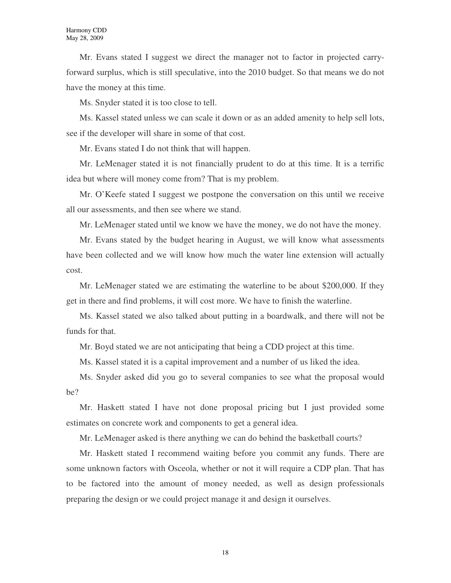Mr. Evans stated I suggest we direct the manager not to factor in projected carryforward surplus, which is still speculative, into the 2010 budget. So that means we do not have the money at this time.

Ms. Snyder stated it is too close to tell.

Ms. Kassel stated unless we can scale it down or as an added amenity to help sell lots, see if the developer will share in some of that cost.

Mr. Evans stated I do not think that will happen.

Mr. LeMenager stated it is not financially prudent to do at this time. It is a terrific idea but where will money come from? That is my problem.

Mr. O'Keefe stated I suggest we postpone the conversation on this until we receive all our assessments, and then see where we stand.

Mr. LeMenager stated until we know we have the money, we do not have the money.

Mr. Evans stated by the budget hearing in August, we will know what assessments have been collected and we will know how much the water line extension will actually cost.

Mr. LeMenager stated we are estimating the waterline to be about \$200,000. If they get in there and find problems, it will cost more. We have to finish the waterline.

Ms. Kassel stated we also talked about putting in a boardwalk, and there will not be funds for that.

Mr. Boyd stated we are not anticipating that being a CDD project at this time.

Ms. Kassel stated it is a capital improvement and a number of us liked the idea.

Ms. Snyder asked did you go to several companies to see what the proposal would be?

Mr. Haskett stated I have not done proposal pricing but I just provided some estimates on concrete work and components to get a general idea.

Mr. LeMenager asked is there anything we can do behind the basketball courts?

Mr. Haskett stated I recommend waiting before you commit any funds. There are some unknown factors with Osceola, whether or not it will require a CDP plan. That has to be factored into the amount of money needed, as well as design professionals preparing the design or we could project manage it and design it ourselves.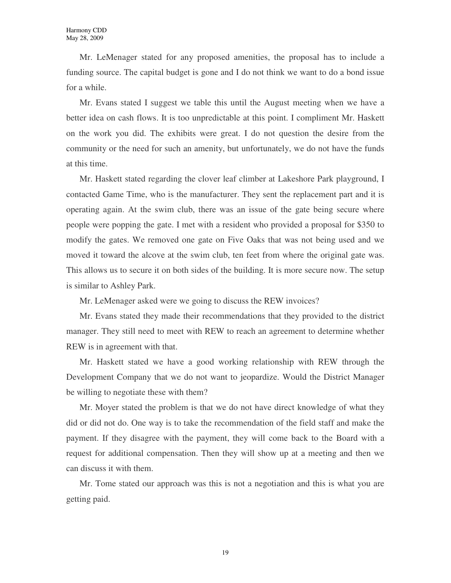Mr. LeMenager stated for any proposed amenities, the proposal has to include a funding source. The capital budget is gone and I do not think we want to do a bond issue for a while.

Mr. Evans stated I suggest we table this until the August meeting when we have a better idea on cash flows. It is too unpredictable at this point. I compliment Mr. Haskett on the work you did. The exhibits were great. I do not question the desire from the community or the need for such an amenity, but unfortunately, we do not have the funds at this time.

Mr. Haskett stated regarding the clover leaf climber at Lakeshore Park playground, I contacted Game Time, who is the manufacturer. They sent the replacement part and it is operating again. At the swim club, there was an issue of the gate being secure where people were popping the gate. I met with a resident who provided a proposal for \$350 to modify the gates. We removed one gate on Five Oaks that was not being used and we moved it toward the alcove at the swim club, ten feet from where the original gate was. This allows us to secure it on both sides of the building. It is more secure now. The setup is similar to Ashley Park.

Mr. LeMenager asked were we going to discuss the REW invoices?

Mr. Evans stated they made their recommendations that they provided to the district manager. They still need to meet with REW to reach an agreement to determine whether REW is in agreement with that.

Mr. Haskett stated we have a good working relationship with REW through the Development Company that we do not want to jeopardize. Would the District Manager be willing to negotiate these with them?

Mr. Moyer stated the problem is that we do not have direct knowledge of what they did or did not do. One way is to take the recommendation of the field staff and make the payment. If they disagree with the payment, they will come back to the Board with a request for additional compensation. Then they will show up at a meeting and then we can discuss it with them.

Mr. Tome stated our approach was this is not a negotiation and this is what you are getting paid.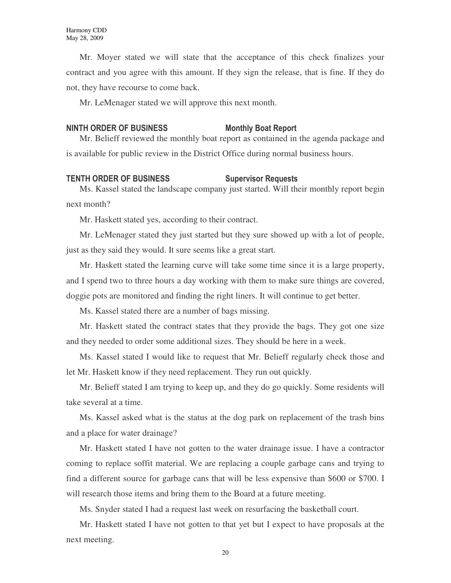Mr. Moyer stated we will state that the acceptance of this check finalizes your contract and you agree with this amount. If they sign the release, that is fine. If they do not, they have recourse to come back.

Mr. LeMenager stated we will approve this next month.

### NINTH ORDER OF BUSINESS Monthly Boat Report

Mr. Belieff reviewed the monthly boat report as contained in the agenda package and is available for public review in the District Office during normal business hours.

### TENTH ORDER OF BUSINESS Supervisor Requests

Ms. Kassel stated the landscape company just started. Will their monthly report begin next month?

Mr. Haskett stated yes, according to their contract.

Mr. LeMenager stated they just started but they sure showed up with a lot of people, just as they said they would. It sure seems like a great start.

Mr. Haskett stated the learning curve will take some time since it is a large property, and I spend two to three hours a day working with them to make sure things are covered, doggie pots are monitored and finding the right liners. It will continue to get better.

Ms. Kassel stated there are a number of bags missing.

Mr. Haskett stated the contract states that they provide the bags. They got one size and they needed to order some additional sizes. They should be here in a week.

Ms. Kassel stated I would like to request that Mr. Belieff regularly check those and let Mr. Haskett know if they need replacement. They run out quickly.

Mr. Belieff stated I am trying to keep up, and they do go quickly. Some residents will take several at a time.

Ms. Kassel asked what is the status at the dog park on replacement of the trash bins and a place for water drainage?

Mr. Haskett stated I have not gotten to the water drainage issue. I have a contractor coming to replace soffit material. We are replacing a couple garbage cans and trying to find a different source for garbage cans that will be less expensive than \$600 or \$700. I will research those items and bring them to the Board at a future meeting.

Ms. Snyder stated I had a request last week on resurfacing the basketball court.

Mr. Haskett stated I have not gotten to that yet but I expect to have proposals at the next meeting.